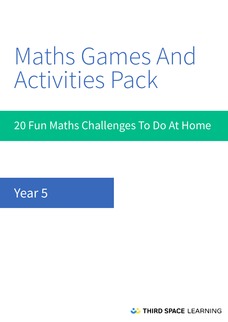# Maths Games And Activities Pack

# 20 Fun Maths Challenges To Do At Home

# Year 5

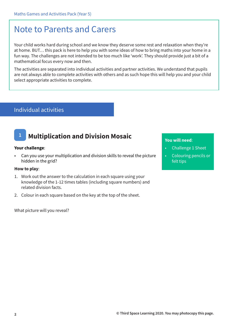## Note to Parents and Carers

Your child works hard during school and we know they deserve some rest and relaxation when they're at home. BUT… this pack is here to help you with some ideas of how to bring maths into your home in a fun way. The challenges are not intended to be too much like 'work'. They should provide just a bit of a mathematical focus every now and then.

The activities are separated into individual activities and partner activities. We understand that pupils are not always able to complete activities with others and as such hope this will help you and your child select appropriate activities to complete.

### Individual activities

### **1 Multiplication and Division Mosaic**

### **Your challenge**:

• Can you use your multiplication and division skills to reveal the picture hidden in the grid?

### **How to play**:

- 1. Work out the answer to the calculation in each square using your knowledge of the 1-12 times tables (including square numbers) and related division facts.
- 2. Colour in each square based on the key at the top of the sheet.

What picture will you reveal?

- Challenge 1 Sheet
- Colouring pencils or felt tips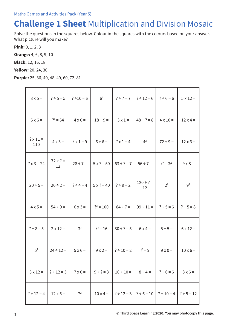# **Challenge 1 Sheet** Multiplication and Division Mosaic

Solve the questions in the squares below. Colour in the squares with the colours based on your answer. What picture will you make?

**Pink:** 0, 1, 2, 3

**Orange:** 4, 6, 8, 9, 10

**Black:** 12, 16, 18

**Yellow:** 20, 24, 30

**Purple:** 25, 36, 40, 48, 49, 60, 72, 81

| $8 \times 5 =$         | $? \div 5 = 5$      | $? \div 10 = 6$  | 6 <sup>2</sup>  | $? \div 7 = 7$                     | $? \div 12 = 6$                                   | $? \div 6 = 6$  | $5 \times 12 =$ |
|------------------------|---------------------|------------------|-----------------|------------------------------------|---------------------------------------------------|-----------------|-----------------|
| $6 \times 6 =$         | $?^2 = 64$          | $4 \times 0 =$   | $18 \div 9 =$   | $3 \times 1 =$                     | $48 \div ? = 8$                                   | $4 \times 10 =$ | $12 \times 4 =$ |
| $? \times 11 =$<br>110 | $4 \times 3 =$      | $? \times 1 = 9$ | $6 \div 6 =$    | 4 <sup>2</sup><br>$? \times 1 = 4$ |                                                   | $72 \div 9 =$   | $12 \times 3 =$ |
| $? \times 3 = 24$      | $72 \div ? =$<br>12 | $28 \div 7 =$    | $5x ? = 50$     | $63 \div ? = 7$                    | $56 \div 7 =$                                     |                 | $9 \times 8 =$  |
| $20 \div 5 =$          | $20 \div 2 =$       | $? \div 4 = 4$   | $5x ? = 40$     | $? \div 9 = 2$                     | $120 \div ? =$<br>12                              | 2 <sup>2</sup>  | 9 <sup>2</sup>  |
| $4 \times 5 =$         | $54 \div 9 =$       | $6x3=$           | $?^{2} = 100$   | $84 \div 7 =$                      | $99 \div 11 =   ? \div 5 = 6$                     |                 | $? \div 5 = 8$  |
| $? \div 8 = 5$         | $2 \times 12 =$     | 3 <sup>2</sup>   | $?^{2} = 16$    | $30 \div ? = 5$                    | $6x4=$                                            | $5 \div 5 =$    | $6 \times 12 =$ |
| 5 <sup>2</sup>         | $24 \div 12 =$      | $5 \times 6 =$   | $9x2=$          | $? \div 10 = 2$                    | $?^{2} = 9$                                       | $9 \times 0 =$  | $10 \times 6 =$ |
| $3 \times 12 =$        | $? \div 12 = 3$     | $7 \times 0 =$   | $9 \div ? = 3$  | $10 \div 10 =$                     | $8 \div 4 =$                                      | $? \div 6 = 6$  | $8 \times 6 =$  |
| $? \div 12 = 4$        | $12 \times 5 =$     | 7 <sup>2</sup>   | $10 \times 4 =$ |                                    | $  ? \div 12 = 3   ? \div 6 = 10   ? \div 10 = 4$ |                 | $? \div 5 = 12$ |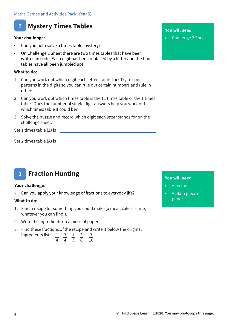### **2 Mystery Times Tables**

### **Your challenge**:

- Can you help solve a times table mystery?
- On Challenge 2 Sheet there are two times tables that have been written in code. Each digit has been replaced by a letter and the times tables have all been jumbled up!

### **What to do:**

- 1. Can you work out which digit each letter stands for? Try to spot patterns in the digits so you can rule out certain numbers and rule in others.
- 2. Can you work out which times table is the 11 times table or the 1 times table? Does the number of single digit answers help you work out which times table it could be?
- 3. Solve the puzzle and record which digit each letter stands for on the challenge sheet.

Set 1 times table (Z) is set that the set of the set of the set of the set of the set of the set of the set of the set of the set of the set of the set of the set of the set of the set of the set of the set of the set of t

Set 2 times table (A) is

#### **Fraction Hunting 3**

### **Your challenge**:

• Can you apply your knowledge of fractions to everyday life?

### **What to do**:

- 1. Find a recipe for something you could make (a meal, cakes, slime, whatever you can find!).
- 2. Write the ingredients on a piece of paper.
- 3. Find these fractions of the recipe and write it below the original

ingredients list:

\n
$$
\frac{1}{4} \quad \frac{3}{4} \quad \frac{1}{3} \quad \frac{3}{8} \quad \frac{3}{10}
$$

### **You will need**:

• Challenge 2 Sheet

- A recipe
- A plain piece of paper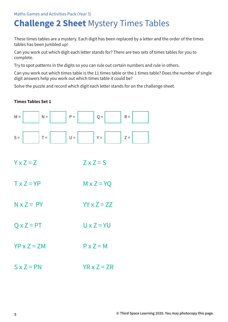# **Challenge 2 Sheet** Mystery Times Tables

These times tables are a mystery. Each digit has been replaced by a letter and the order of the times tables has been jumbled up!

Can you work out which digit each letter stands for? There are two sets of times tables for you to complete.

Try to spot patterns in the digits so you can rule out certain numbers and rule in others.

Can you work out which times table is the 11 times table or the 1 times table? Does the number of single digit answers help you work out which times table it could be?

Solve the puzzle and record which digit each letter stands for on the challenge sheet.

### **Times Tables Set 1**



- $Y \times Z = Z$   $Z \times Z = S$
- $TX = YP$   $MX Z = YQ$
- $N \times Z = PY$   $YY \times Z = 77$
- $Q \times Z = PT$  U  $\times Z = YU$
- $YP \times Z = ZM$   $P \times Z = M$
- $S \times Z = PN$   $YR \times Z = ZR$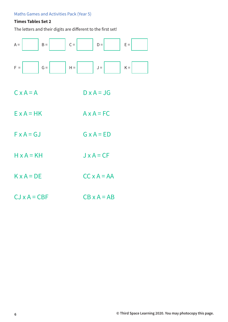### **Times Tables Set 2**

The letters and their digits are different to the first set!



- $C \times A = A$   $D \times A = JG$
- $E \times A = HK$   $A \times A = FC$
- $F \times A = GJ$   $G \times A = ED$
- $H \times A = KH$   $J \times A = CF$
- $K \times A = DE$   $CC \times A = AA$
- $CJ \times A = CBF$   $CB \times A = AB$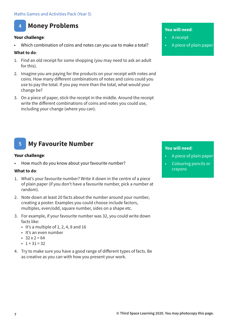### **4 Money Problems**

### **Your challenge**:

Which combination of coins and notes can you use to make a total?

### **What to do**:

- 1. Find an old receipt for some shopping (you may need to ask an adult for this).
- 2. Imagine you are paying for the products on your receipt with notes and coins. How many different combinations of notes and coins could you use to pay the total. If you pay more than the total, what would your change be?
- 3. On a piece of paper, stick the receipt in the middle. Around the receipt write the different combinations of coins and notes you could use, including your change (where you can).

### **You will need**:

- A receipt
- A piece of plain paper

### **You will need**:

- A piece of plain paper
- Colouring pencils or crayons

#### **My Favourite Number 5**

### **Your challenge**:

How much do you know about your favourite number?

### **What to do**:

- 1. What's your favourite number? Write it down in the centre of a piece of plain paper (if you don't have a favourite number, pick a number at random).
- 2. Note down at least 20 facts about the number around your number, creating a poster. Examples you could choose include factors, multiples, even/odd, square number, sides on a shape etc.
- 3. For example, if your favourite number was 32, you could write down facts like:
	- $\cdot$  It's a multiple of 1, 2, 4, 8 and 16
	- It's an even number
	- $32 \times 2 = 64$
	- $\cdot$  1 + 31 = 32
- 4. Try to make sure you have a good range of different types of facts. Be as creative as you can with how you present your work.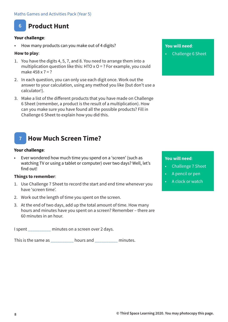### **6 Product Hunt**

### **Your challenge**:

• How many products can you make out of 4 digits?

### **How to play**:

- 1. You have the digits 4, 5, 7, and 8. You need to arrange them into a multiplication question like this: HTO  $x$  O = ? For example, you could make 458 x 7 = ?
- 2. In each question, you can only use each digit once. Work out the answer to your calculation, using any method you like (but don't use a calculator!).
- 3. Make a list of the different products that you have made on Challenge 6 Sheet (remember, a product is the result of a multiplication). How can you make sure you have found all the possible products? Fill in Challenge 6 Sheet to explain how you did this.

### **7 How Much Screen Time?**

### **Your challenge**:

• Ever wondered how much time you spend on a 'screen' (such as watching TV or using a tablet or computer) over two days? Well, let's find out!

### **Things to remember**:

- 1. Use Challenge 7 Sheet to record the start and end time whenever you have 'screen time'.
- 2. Work out the length of time you spent on the screen.
- 3. At the end of two days, add up the total amount of time. How many hours and minutes have you spent on a screen? Remember – there are 60 minutes in an hour.

I spent \_\_\_\_\_\_\_\_\_\_ minutes on a screen over 2 days.

This is the same as \_\_\_\_\_\_\_\_\_\_ hours and \_\_\_\_\_\_\_\_\_\_ minutes.

### **You will need**:

• Challenge 6 Sheet

- Challenge 7 Sheet
- A pencil or pen
- A clock or watch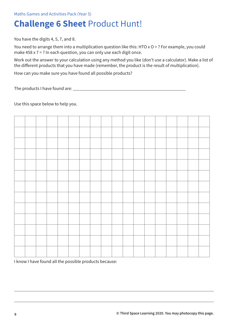# **Challenge 6 Sheet** Product Hunt!

You have the digits 4, 5, 7, and 8.

You need to arrange them into a multiplication question like this: HTO x O = ? For example, you could make  $458 \times 7 = ?$  In each question, you can only use each digit once.

Work out the answer to your calculation using any method you like (don't use a calculator). Make a list of the different products that you have made (remember, the product is the result of multiplication).

How can you make sure you have found all possible products?

The products I have found are:

Use this space below to help you.



I know I have found all the possible products because: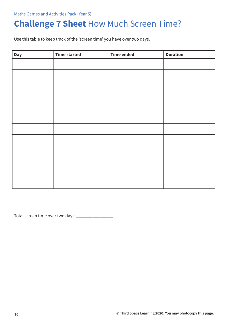# **Challenge 7 Sheet** How Much Screen Time?

Use this table to keep track of the 'screen time' you have over two days.

| <b>Day</b> | <b>Time started</b> | <b>Time ended</b> | <b>Duration</b> |
|------------|---------------------|-------------------|-----------------|
|            |                     |                   |                 |
|            |                     |                   |                 |
|            |                     |                   |                 |
|            |                     |                   |                 |
|            |                     |                   |                 |
|            |                     |                   |                 |
|            |                     |                   |                 |
|            |                     |                   |                 |
|            |                     |                   |                 |
|            |                     |                   |                 |
|            |                     |                   |                 |
|            |                     |                   |                 |
|            |                     |                   |                 |

Total screen time over two days: \_\_\_\_\_\_\_\_\_\_\_\_\_\_\_\_\_\_\_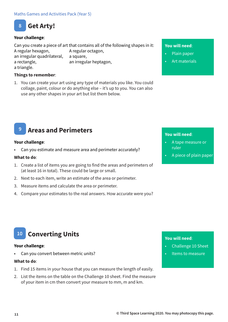

### **Your challenge**:

Can you create a piece of art that contains all of the following shapes in it: A regular hexagon, A regular octagon, an irregular quadrilateral, a square, a rectangle, an irregular heptagon, a triangle.

### **Things to remember**:

1. You can create your art using any type of materials you like. You could collage, paint, colour or do anything else – it's up to you. You can also use any other shapes in your art but list them below.

#### **You will need**:

- Plain paper
- Art materials

### **9 Areas and Perimeters**

#### **Your challenge**:

• Can you estimate and measure area and perimeter accurately?

### **What to do**:

- 1. Create a list of items you are going to find the areas and perimeters of (at least 16 in total). These could be large or small.
- 2. Next to each item, write an estimate of the area or perimeter.
- 3. Measure items and calculate the area or perimeter.
- 4. Compare your estimates to the real answers. How accurate were you?

### **You will need**:

- A tape measure or ruler
- A piece of plain paper

### **10 Converting Units**

#### **Your challenge**:

Can you convert between metric units?

### **What to do**:

- 1. Find 15 items in your house that you can measure the length of easily.
- 2. List the items on the table on the Challenge 10 sheet. Find the measure of your item in cm then convert your measure to mm, m and km.

- Challenge 10 Sheet
- Items to measure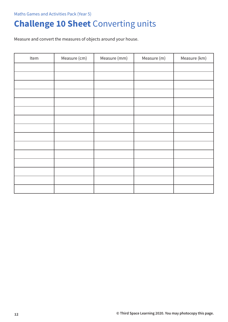# **Challenge 10 Sheet** Converting units

Measure and convert the measures of objects around your house.

| Item | Measure (cm) | Measure (mm) | Measure (m) | Measure (km) |
|------|--------------|--------------|-------------|--------------|
|      |              |              |             |              |
|      |              |              |             |              |
|      |              |              |             |              |
|      |              |              |             |              |
|      |              |              |             |              |
|      |              |              |             |              |
|      |              |              |             |              |
|      |              |              |             |              |
|      |              |              |             |              |
|      |              |              |             |              |
|      |              |              |             |              |
|      |              |              |             |              |
|      |              |              |             |              |
|      |              |              |             |              |
|      |              |              |             |              |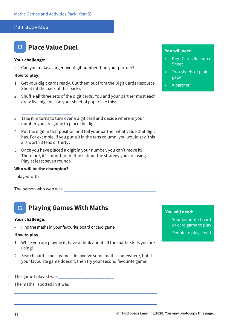### Pair activities



\_\_\_\_ \_\_\_\_ \_\_\_\_ \_\_\_\_ \_\_\_\_

### **Your challenge**:

• Can you make a larger five-digit number than your partner?

### **How to play:**

- 1. Get your digit cards ready. Cut them out from the Digit Cards Resource Sheet (at the back of this pack).
- 2. Shuffle all three sets of the digit cards. You and your partner must each draw five big lines on your sheet of paper like this:
- 3. Take it in turns to turn over a digit card and decide where in your number you are going to place the digit.
- 4. Put the digit in that position and tell your partner what value that digit has. For example, if you put a 3 in the tens column, you would say 'this 3 is worth 3 tens or thirty'.
- 5. Once you have placed a digit in your number, you can't move it! Therefore, it's important to think about the strategy you are using. Play at least seven rounds.

### **Who will be the champion?**

I played with

The person who won was

#### **Playing Games With Maths 12**

#### **Your challenge**:

• Find the maths in your favourite board or card game.

#### **How to play**:

- 1. While you are playing it, have a think about all the maths skills you are using!
- 2. Search hard most games do involve some maths somewhere, but if your favourite game doesn't, then try your second favourite game!

The game I played was \_\_\_\_\_\_\_\_\_\_\_\_\_\_\_\_\_\_\_\_\_\_\_\_

The maths I spotted in it was

### **You will need**:

- Digit Cards Resource Sheet
- Two sheets of plain paper
- A partner

- Your favourite board or card game to play
- People to play it with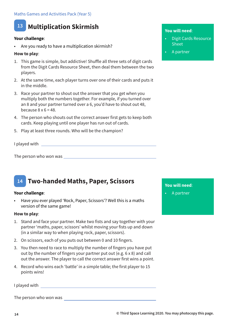

### **Your challenge**:

Are you ready to have a multiplication skirmish?

### **How to play**:

- 1. This game is simple, but addictive! Shuffle all three sets of digit cards from the Digit Cards Resource Sheet, then deal them between the two players.
- 2. At the same time, each player turns over one of their cards and puts it in the middle.
- 3. Race your partner to shout out the answer that you get when you multiply both the numbers together. For example, if you turned over an 8 and your partner turned over a 6, you'd have to shout out 48, because  $8 \times 6 = 48$ .
- 4. The person who shouts out the correct answer first gets to keep both cards. Keep playing until one player has run out of cards.
- 5. Play at least three rounds. Who will be the champion?

I played with <u>example and the set of the set of the set of the set of the set of the set of the set of the set of the set of the set of the set of the set of the set of the set of the set of the set of the set of the set </u>

The person who won was

#### **Two-handed Maths, Paper, Scissors 14**

### **Your challenge**:

• Have you ever played 'Rock, Paper, Scissors'? Well this is a maths version of the same game!

### **How to play**:

- 1. Stand and face your partner. Make two fists and say together with your partner 'maths, paper, scissors' whilst moving your fists up and down (in a similar way to when playing rock, paper, scissors).
- 2. On scissors, each of you puts out between 0 and 10 fingers.
- 3. You then need to race to multiply the number of fingers you have put out by the number of fingers your partner put out (e.g. 6 x 8) and call out the answer. The player to call the correct answer first wins a point.
- 4. Record who wins each 'battle' in a simple table; the first player to 15 points wins!

I played with

The person who won was

### **You will need**:

- Digit Cards Resource Sheet
- A partner

**You will need**:

• A partner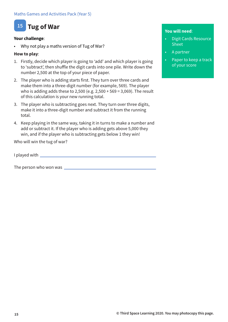### **15 Tug of War**

### **Your challenge**:

• Why not play a maths version of Tug of War?

### **How to play**:

- 1. Firstly, decide which player is going to 'add' and which player is going to 'subtract', then shuffle the digit cards into one pile. Write down the number 2,500 at the top of your piece of paper.
- 2. The player who is adding starts first. They turn over three cards and make them into a three-digit number (for example, 569). The player who is adding adds these to 2,500 (e.g. 2,500 + 569 = 3,069). The result of this calculation is your new running total.
- 3. The player who is subtracting goes next. They turn over three digits, make it into a three-digit number and subtract it from the running total.
- 4. Keep playing in the same way, taking it in turns to make a number and add or subtract it. If the player who is adding gets above 5,000 they win, and if the player who is subtracting gets below 1 they win!

Who will win the tug of war?

I played with

The person who won was

- Digit Cards Resource **Sheet**
- A partner
- Paper to keep a track of your score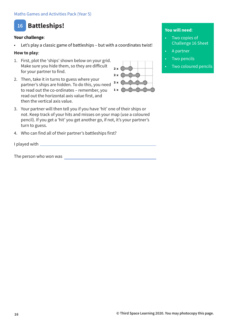### **16 Battleships!**

### **Your challenge**:

Let's play a classic game of battleships - but with a coordinates twist!

### **How to play**:

- 1. First, plot the 'ships' shown below on your grid. Make sure you hide them, so they are difficult for your partner to find.
- 2. Then, take it in turns to guess where your partner's ships are hidden. To do this, you need to read out the co-ordinates – remember, you read out the horizontal axis value first, and then the vertical axis value.
- 3. Your partner will then tell you if you have 'hit' one of their ships or not. Keep track of your hits and misses on your map (use a coloured pencil). If you get a 'hit' you get another go, if not, it's your partner's turn to guess.
- 4. Who can find all of their partner's battleships first?

I played with  $\_\_$ 

The person who won was



- Two copies of Challenge 16 Sheet
- A partner
- **Two pencils**
- Two coloured pencils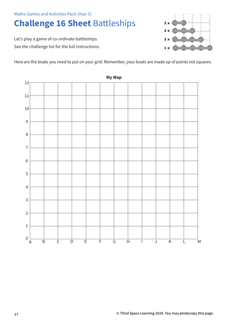# **Challenge 16 Sheet** Battleships

Let's play a game of co-ordinate battleships. See the challenge list for the full instructions.  $2x$  $2x$  $2x$  $1 x$ 

Here are the boats you need to put on your grid. Remember, your boats are made up of points not squares.



**My Map**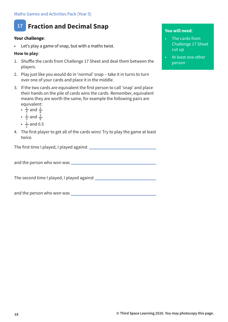#### **Fraction and Decimal Snap 17**

### **Your challenge**:

Let's play a game of snap, but with a maths twist.

### **How to play**:

- 1. Shuffle the cards from Challenge 17 Sheet and deal them between the players.
- 2. Play just like you would do in 'normal' snap take it in turns to turn over one of your cards and place it in the middle.
- 3. If the two cards are equivalent the first person to call 'snap' and place their hands on the pile of cards wins the cards. Remember, equivalent means they are worth the same, for example the following pairs are equivalent:
	- $\frac{1}{4}$  and 4 2 8
	- $\frac{1}{3}$  and 3 3 9
	- $\frac{1}{2}$  and 0.5 2
- 4. The first player to get all of the cards wins! Try to play the game at least twice.

The first time I played, I played against

and the person who won was

The second time I played, I played against

and the person who won was

### **You will need**:

•

- The cards from Challenge 17 Sheet cut up
- At least one other person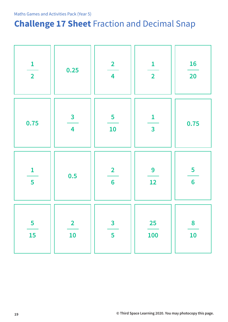# **Challenge 17 Sheet** Fraction and Decimal Snap

| $\mathbf{1}$            | 0.25                                               | $\overline{\mathbf{2}}$              | $\mathbf{1}$                            | <b>16</b>               |
|-------------------------|----------------------------------------------------|--------------------------------------|-----------------------------------------|-------------------------|
| $\overline{2}$          |                                                    | $\overline{\mathbf{4}}$              | $\overline{2}$                          | <b>20</b>               |
| 0.75                    | $\overline{\mathbf{3}}$<br>$\overline{\mathbf{4}}$ | $\overline{\mathbf{5}}$<br><b>10</b> | $\mathbf{1}$<br>$\overline{\mathbf{3}}$ | 0.75                    |
| $\mathbf{1}$            | 0.5                                                | $\overline{\mathbf{2}}$              | 9                                       | $\overline{\mathbf{5}}$ |
| 5                       |                                                    | $6\phantom{a}6$                      | 12                                      | $6\phantom{a}6$         |
| $\overline{\mathbf{5}}$ | $\overline{\mathbf{2}}$                            | $\overline{\mathbf{3}}$              | <b>25</b>                               | 8                       |
| 15                      | 10                                                 | 5                                    | <b>100</b>                              | 10                      |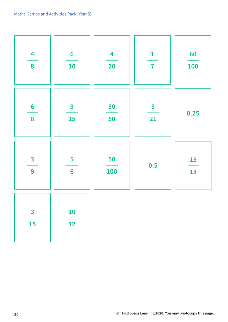| $\overline{\mathbf{4}}$       | $6\phantom{a}$  | $\overline{\mathbf{4}}$ | $\mathbf{1}$            | 80         |
|-------------------------------|-----------------|-------------------------|-------------------------|------------|
| 8                             | 10              | 20                      | $\overline{\mathbf{7}}$ | <b>100</b> |
| $6\phantom{a}$                | 9               | 30                      | $\overline{\mathbf{3}}$ | 0.25       |
| 8                             | <b>15</b>       | 50                      | 21                      |            |
| $\overline{\mathbf{3}}$       | 5               | 50                      | 0.5                     | <b>15</b>  |
| 9                             | $6\phantom{1}6$ | 100                     |                         | 18         |
| $\overline{\mathbf{3}}$<br>15 | <b>10</b><br>12 |                         |                         |            |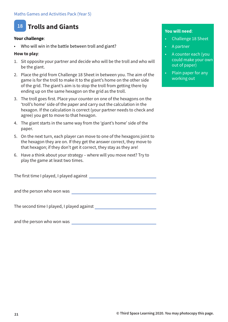### **18 Trolls and Giants**

### **Your challenge**:

Who will win in the battle between troll and giant?

### **How to play**:

- 1. Sit opposite your partner and decide who will be the troll and who will be the giant.
- 2. Place the grid from Challenge 18 Sheet in between you. The aim of the game is for the troll to make it to the giant's home on the other side of the grid. The giant's aim is to stop the troll from getting there by ending up on the same hexagon on the grid as the troll.
- 3. The troll goes first. Place your counter on one of the hexagons on the 'troll's home' side of the paper and carry out the calculation in the hexagon. If the calculation is correct (your partner needs to check and agree) you get to move to that hexagon.
- 4. The giant starts in the same way from the 'giant's home' side of the paper.
- 5. On the next turn, each player can move to one of the hexagons joint to the hexagon they are on. If they get the answer correct, they move to that hexagon; if they don't get it correct, they stay as they are!
- 6. Have a think about your strategy where will you move next? Try to play the game at least two times.

The first time I played, I played against

and the person who won was

The second time I played, I played against

and the person who won was

- Challenge 18 Sheet
- A partner
- A counter each (you could make your own out of paper)
- Plain paper for any working out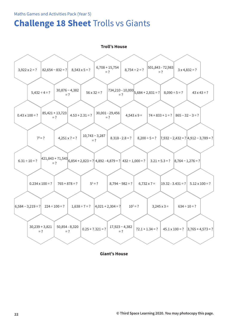# **Challenge 18 Sheet** Trolls vs Giants

**Troll's House**  $3.922 \times 2 = ?$  $5.432 \div 4 = ?$  $7^2 = ?$  $0.234 \times 100 = ?$ 30,239 + 3,821  $= ?$  $6,584 - 3,219 = ?$  224 ÷ 100 = ?  $6.31 \div 10 = ?$  $0.43 \times 100 = ?$  $56 \times 32 = ?$ 10,743 − 3,287  $= ?$  $5^2 = ?$  $0.25 + 7.321 = ?$  $1,638 \div 7 = ?$ 6,854 + 2,823 = ? 3.21 + 5.3 = ? 421,843 + 71,543  $4.53 + 2.31 = ?$  $8.090 \div 5 = ?$  $8,200 \div 5 = ?$  7,932 – 2,432 = ? 4,912 – 3,789 = ?  $19.32 - 3.431 = ?$  5.12 x 100 = ?  $45.1 \times 100 = ?$   $|3,765 + 4,573 = ?$  $3,245 \times 3 =$ 74 + 833 + 1 = ? 865 − 32 − 3 = ? 30,876 − 4,382  $= ?$  $4,251 \times 7 = ?$  $765 + 878 = ?$ 50,854 - 8,320  $= ?$  $=$  ?  $^{11,979}$  6,854 + 2,823 = ? 4,892 - 4,879 = ? 432 ÷ 1,000 = ? 3.21 + 5.3 = ? 8,764 - 1,276 = ? 85,421 + 13,723  $= ?$  $\begin{bmatrix} 734,210 & -10,000 \\ -2 & 5,684 & +2,831 \end{bmatrix}$  $6,732 \times 7 =$  $72.1 + 1.34 = ?$  $10^2$  = ?  $4,543 \times 9 =$ = ?  $8.318 - 2.8 = ?$  $8,794 - 982 = ?$ 17,923 − 4,382  $= ?$  $|4,021 + 2,304 = ?|$ 30,001 - 29,456  $= ?$  $43 \times 43 = ?$  $634 \div 10 = ?$  $82,654 - 832 = ?$   $8,543 \times 5 = ?$   $6,708 + 15,754$  $8,754 \div 2 = ? \begin{bmatrix} 501,843 & -72,983 \\ = ? \end{bmatrix}$  $3 x 4,832 = ?$ 

**Giant's House**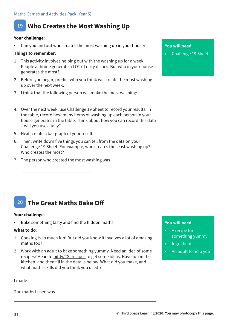### **19 Who Creates the Most Washing Up**

### **Your challenge**:

Can you find out who creates the most washing up in your house?

### **Things to remember**:

- 1. This activity involves helping out with the washing up for a week. People at home generate a LOT of dirty dishes. But who in your house generates the most?
- 2. Before you begin, predict who you think will create the most washing up over the next week.
- 3. I think that the following person will make the most washing:
- \_\_\_\_\_\_\_\_\_\_\_\_\_\_\_\_\_\_\_\_\_\_\_\_\_\_\_\_\_\_ 4. Over the next week, use Challenge 19 Sheet to record your results. In the table, record how many items of washing up each person in your house generates in the table. Think about how you can record this data – will you use a tally?
- 5. Next, create a bar graph of your results.
- 6. Then, write down five things you can tell from the data on your Challenge 19 Sheet. For example, who creates the least washing up? Who creates the most?
- 7. The person who created the most washing was

\_\_\_\_\_\_\_\_\_\_\_\_\_\_\_\_\_\_\_\_\_\_\_\_\_\_\_\_\_\_\_

#### **20 The Great Maths Bake Off**

### **Your challenge**:

Bake something tasty and find the hidden maths.

### **What to do**:

- 1. Cooking is so much fun! But did you know it involves a lot of amazing maths too?
- 2. Work with an adult to bake something yummy. Need an idea of some recipes? Head to bit.ly/TSLrecipes to get some ideas. Have fun in the kitchen, and then fill in the details below. What did you make, and what maths skills did you think you used!?

I made

The maths I used was

### **You will need**:

• Challenge 19 Sheet

- A recipe for something yummy
- **Ingredients**
- An adult to help you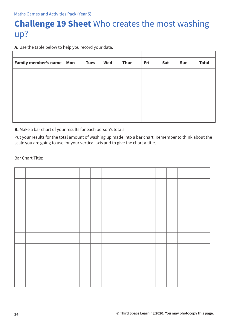# **Challenge 19 Sheet** Who creates the most washing up?

**A.** Use the table below to help you record your data.

| Family member's name   Mon | <b>Tues</b> | Wed | <b>Thur</b> | Fri | Sat | Sun | <b>Total</b> |
|----------------------------|-------------|-----|-------------|-----|-----|-----|--------------|
|                            |             |     |             |     |     |     |              |
|                            |             |     |             |     |     |     |              |
|                            |             |     |             |     |     |     |              |
|                            |             |     |             |     |     |     |              |
|                            |             |     |             |     |     |     |              |

**B.** Make a bar chart of your results for each person's totals

Put your results for the total amount of washing up made into a bar chart. Remember to think about the scale you are going to use for your vertical axis and to give the chart a title.

Bar Chart Title: \_\_\_\_\_\_\_\_\_\_\_\_\_\_\_\_\_\_\_\_\_\_\_\_\_\_\_\_\_\_\_\_\_\_\_\_\_\_\_\_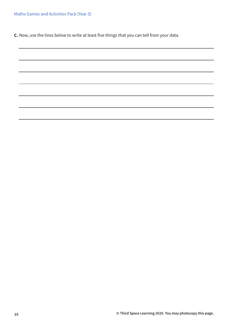**C.** Now, use the lines below to write at least five things that you can tell from your data.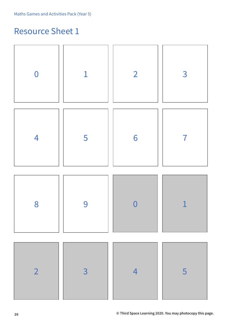# Resource Sheet 1